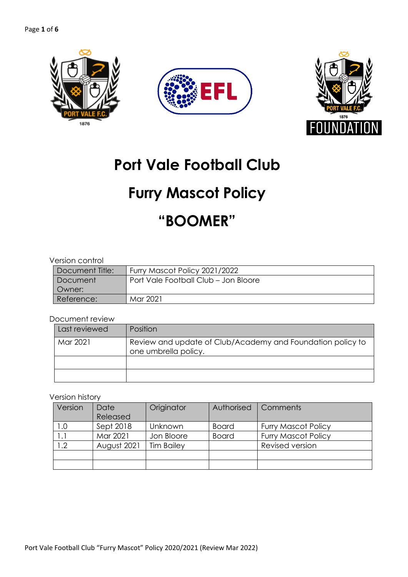



# **Port Vale Football Club**

# **Furry Mascot Policy**

# **"BOOMER"**

#### Version control

| Document Title: | Furry Mascot Policy 2021/2022        |  |  |  |
|-----------------|--------------------------------------|--|--|--|
| Document        | Port Vale Football Club - Jon Bloore |  |  |  |
| Owner:          |                                      |  |  |  |
| Reference:      | Mar 2021                             |  |  |  |

#### Document review

| Last reviewed | Position                                                                           |
|---------------|------------------------------------------------------------------------------------|
| Mar 2021      | Review and update of Club/Academy and Foundation policy to<br>one umbrella policy. |
|               |                                                                                    |
|               |                                                                                    |

#### Version history

| Version        | Date<br>Released | Originator        | Authorised   | Comments                   |
|----------------|------------------|-------------------|--------------|----------------------------|
| 1.0            | Sept 2018        | <b>Unknown</b>    | <b>Board</b> | <b>Furry Mascot Policy</b> |
| $\mathsf{L}$ . | Mar 2021         | Jon Bloore        | <b>Board</b> | <b>Furry Mascot Policy</b> |
| $\overline{2}$ | August 2021      | <b>Tim Bailey</b> |              | Revised version            |
|                |                  |                   |              |                            |
|                |                  |                   |              |                            |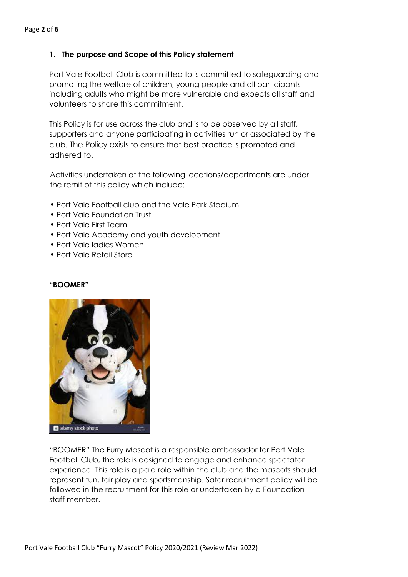#### **1. The purpose and Scope of this Policy statement**

Port Vale Football Club is committed to is committed to safeguarding and promoting the welfare of children, young people and all participants including adults who might be more vulnerable and expects all staff and volunteers to share this commitment.

This Policy is for use across the club and is to be observed by all staff, supporters and anyone participating in activities run or associated by the club. The Policy exists to ensure that best practice is promoted and adhered to.

Activities undertaken at the following locations/departments are under the remit of this policy which include:

- Port Vale Football club and the Vale Park Stadium
- Port Vale Foundation Trust
- Port Vale First Team
- Port Vale Academy and youth development
- Port Vale ladies Women
- Port Vale Retail Store

#### **"BOOMER"**



"BOOMER" The Furry Mascot is a responsible ambassador for Port Vale Football Club, the role is designed to engage and enhance spectator experience. This role is a paid role within the club and the mascots should represent fun, fair play and sportsmanship. Safer recruitment policy will be followed in the recruitment for this role or undertaken by a Foundation staff member.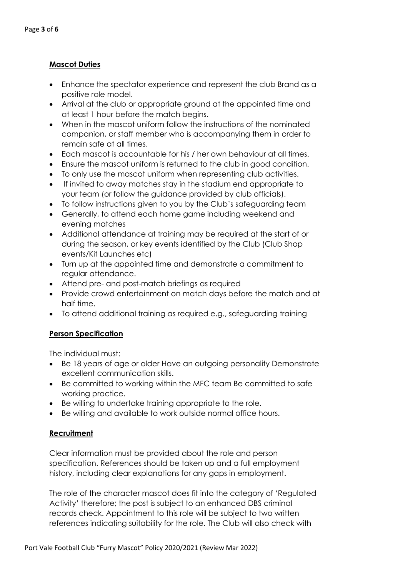## **Mascot Duties**

- Enhance the spectator experience and represent the club Brand as a positive role model.
- Arrival at the club or appropriate ground at the appointed time and at least 1 hour before the match begins.
- When in the mascot uniform follow the instructions of the nominated companion, or staff member who is accompanying them in order to remain safe at all times.
- Each mascot is accountable for his / her own behaviour at all times.
- Ensure the mascot uniform is returned to the club in good condition.
- To only use the mascot uniform when representing club activities.
- If invited to away matches stay in the stadium end appropriate to your team (or follow the guidance provided by club officials).
- To follow instructions given to you by the Club's safeguarding team
- Generally, to attend each home game including weekend and evening matches
- Additional attendance at training may be required at the start of or during the season, or key events identified by the Club (Club Shop events/Kit Launches etc)
- Turn up at the appointed time and demonstrate a commitment to regular attendance.
- Attend pre- and post-match briefings as required
- Provide crowd entertainment on match days before the match and at half time.
- To attend additional training as required e.g., safeguarding training

## **Person Specification**

The individual must:

- Be 18 years of age or older Have an outgoing personality Demonstrate excellent communication skills.
- Be committed to working within the MFC team Be committed to safe working practice.
- Be willing to undertake training appropriate to the role.
- Be willing and available to work outside normal office hours.

#### **Recruitment**

Clear information must be provided about the role and person specification. References should be taken up and a full employment history, including clear explanations for any gaps in employment.

The role of the character mascot does fit into the category of 'Regulated Activity' therefore; the post is subject to an enhanced DBS criminal records check. Appointment to this role will be subject to two written references indicating suitability for the role. The Club will also check with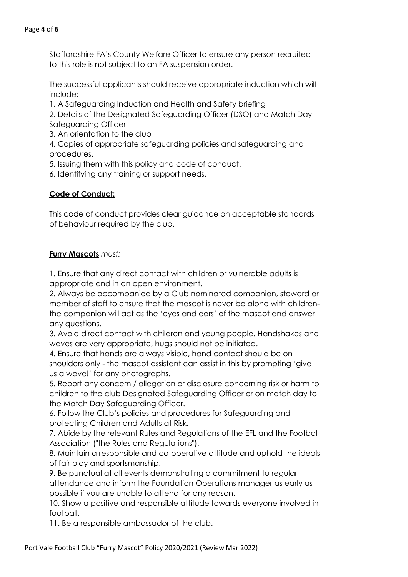Staffordshire FA's County Welfare Officer to ensure any person recruited to this role is not subject to an FA suspension order.

The successful applicants should receive appropriate induction which will include:

1. A Safeguarding Induction and Health and Safety briefing

2. Details of the Designated Safeguarding Officer (DSO) and Match Day Safeguarding Officer

3. An orientation to the club

4. Copies of appropriate safeguarding policies and safeguarding and procedures.

5. Issuing them with this policy and code of conduct.

6. Identifying any training or support needs.

#### **Code of Conduct:**

This code of conduct provides clear guidance on acceptable standards of behaviour required by the club.

#### **Furry Mascots** *must:*

1. Ensure that any direct contact with children or vulnerable adults is appropriate and in an open environment.

2. Always be accompanied by a Club nominated companion, steward or member of staff to ensure that the mascot is never be alone with childrenthe companion will act as the 'eyes and ears' of the mascot and answer any questions.

3. Avoid direct contact with children and young people. Handshakes and waves are very appropriate, hugs should not be initiated.

4. Ensure that hands are always visible, hand contact should be on shoulders only - the mascot assistant can assist in this by prompting 'give us a wave!' for any photographs.

5. Report any concern / allegation or disclosure concerning risk or harm to children to the club Designated Safeguarding Officer or on match day to the Match Day Safeguarding Officer.

6. Follow the Club's policies and procedures for Safeguarding and protecting Children and Adults at Risk.

7. Abide by the relevant Rules and Regulations of the EFL and the Football Association ("the Rules and Regulations").

8. Maintain a responsible and co-operative attitude and uphold the ideals of fair play and sportsmanship.

9. Be punctual at all events demonstrating a commitment to regular attendance and inform the Foundation Operations manager as early as possible if you are unable to attend for any reason.

10. Show a positive and responsible attitude towards everyone involved in football.

11. Be a responsible ambassador of the club.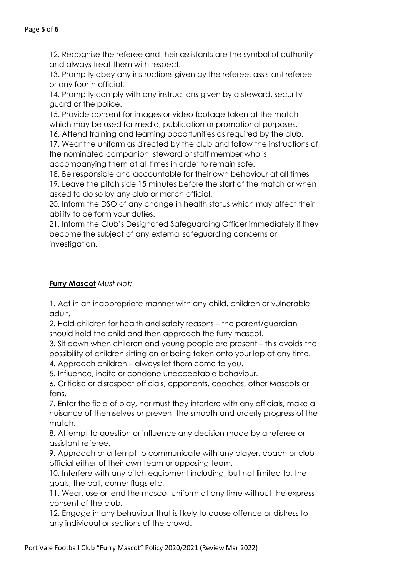12. Recognise the referee and their assistants are the symbol of authority and always treat them with respect.

13. Promptly obey any instructions given by the referee, assistant referee or any fourth official.

14. Promptly comply with any instructions given by a steward, security guard or the police.

15. Provide consent for images or video footage taken at the match which may be used for media, publication or promotional purposes.

16. Attend training and learning opportunities as required by the club.

17. Wear the uniform as directed by the club and follow the instructions of the nominated companion, steward or staff member who is

accompanying them at all times in order to remain safe. 18. Be responsible and accountable for their own behaviour at all times

19. Leave the pitch side 15 minutes before the start of the match or when asked to do so by any club or match official.

20. Inform the DSO of any change in health status which may affect their ability to perform your duties.

21. Inform the Club's Designated Safeguarding Officer immediately if they become the subject of any external safeguarding concerns or investigation.

## **Furry Mascot** *Must Not:*

1. Act in an inappropriate manner with any child, children or vulnerable adult.

2. Hold children for health and safety reasons – the parent/guardian should hold the child and then approach the furry mascot.

3. Sit down when children and young people are present – this avoids the possibility of children sitting on or being taken onto your lap at any time.

4. Approach children – always let them come to you.

5. Influence, incite or condone unacceptable behaviour.

6. Criticise or disrespect officials, opponents, coaches, other Mascots or fans.

7. Enter the field of play, nor must they interfere with any officials, make a nuisance of themselves or prevent the smooth and orderly progress of the match.

8. Attempt to question or influence any decision made by a referee or assistant referee.

9. Approach or attempt to communicate with any player, coach or club official either of their own team or opposing team.

10. Interfere with any pitch equipment including, but not limited to, the goals, the ball, corner flags etc.

11. Wear, use or lend the mascot uniform at any time without the express consent of the club.

12. Engage in any behaviour that is likely to cause offence or distress to any individual or sections of the crowd.